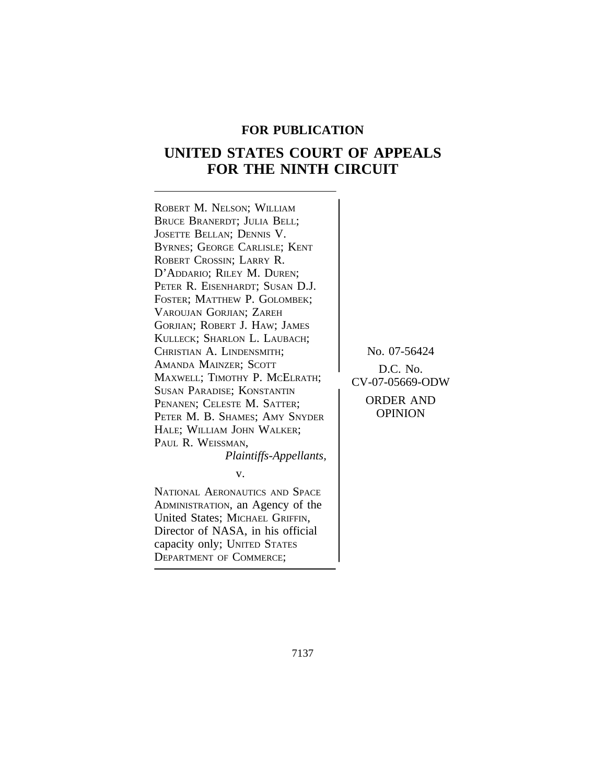# **FOR PUBLICATION**

# **UNITED STATES COURT OF APPEALS FOR THE NINTH CIRCUIT**

| ROBERT M. NELSON; WILLIAM            |  |
|--------------------------------------|--|
| BRUCE BRANERDT; JULIA BELL;          |  |
| JOSETTE BELLAN; DENNIS V.            |  |
| <b>BYRNES; GEORGE CARLISLE; KENT</b> |  |
| ROBERT CROSSIN; LARRY R.             |  |
| D'ADDARIO; RILEY M. DUREN;           |  |
| PETER R. EISENHARDT; SUSAN D.J.      |  |
| FOSTER; MATTHEW P. GOLOMBEK;         |  |
| VAROUJAN GORJIAN; ZAREH              |  |
| GORJIAN; ROBERT J. HAW; JAMES        |  |
| KULLECK; SHARLON L. LAUBACH;         |  |
| CHRISTIAN A. LINDENSMITH;            |  |
| AMANDA MAINZER; SCOTT                |  |
| MAXWELL; TIMOTHY P. MCELRATH;        |  |
| SUSAN PARADISE; KONSTANTIN           |  |
| PENANEN; CELESTE M. SATTER;          |  |
| PETER M. B. SHAMES; AMY SNYDER       |  |
| HALE; WILLIAM JOHN WALKER;           |  |
| PAUL R. WEISSMAN,                    |  |
| Plaintiffs-Appellants,               |  |
|                                      |  |

NATIONAL AERONAUTICS AND SPACE ADMINISTRATION, an Agency of the United States; MICHAEL GRIFFIN, Director of NASA, in his official capacity only; UNITED STATES DEPARTMENT OF COMMERCE;

v.

No. 07-56424 D.C. No. CV-07-05669-ODW ORDER AND

**OPINION**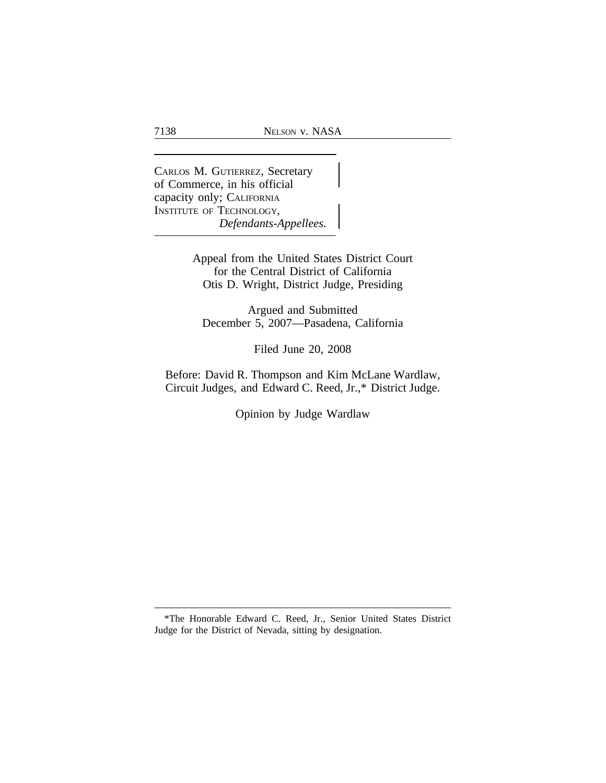<sup>C</sup>ARLOS M. GUTIERREZ, Secretary of Commerce, in his official capacity only; CALIFORNIA INSTITUTE OF TECHNOLOGY, *Defendants-Appellees.*

> Appeal from the United States District Court for the Central District of California Otis D. Wright, District Judge, Presiding

Argued and Submitted December 5, 2007—Pasadena, California

Filed June 20, 2008

Before: David R. Thompson and Kim McLane Wardlaw, Circuit Judges, and Edward C. Reed, Jr.,\* District Judge.

Opinion by Judge Wardlaw

<sup>\*</sup>The Honorable Edward C. Reed, Jr., Senior United States District Judge for the District of Nevada, sitting by designation.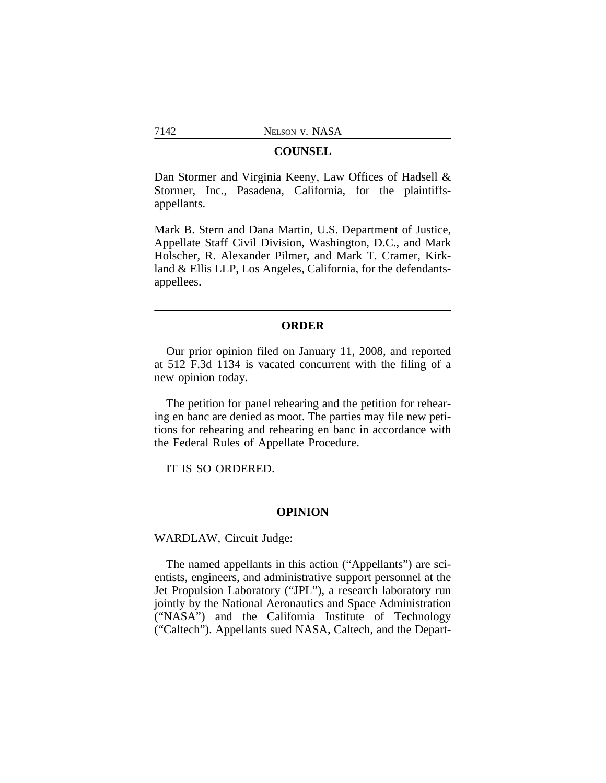## **COUNSEL**

Dan Stormer and Virginia Keeny, Law Offices of Hadsell & Stormer, Inc., Pasadena, California, for the plaintiffsappellants.

Mark B. Stern and Dana Martin, U.S. Department of Justice, Appellate Staff Civil Division, Washington, D.C., and Mark Holscher, R. Alexander Pilmer, and Mark T. Cramer, Kirkland & Ellis LLP, Los Angeles, California, for the defendantsappellees.

## **ORDER**

Our prior opinion filed on January 11, 2008, and reported at 512 F.3d 1134 is vacated concurrent with the filing of a new opinion today.

The petition for panel rehearing and the petition for rehearing en banc are denied as moot. The parties may file new petitions for rehearing and rehearing en banc in accordance with the Federal Rules of Appellate Procedure.

IT IS SO ORDERED.

## **OPINION**

WARDLAW, Circuit Judge:

The named appellants in this action ("Appellants") are scientists, engineers, and administrative support personnel at the Jet Propulsion Laboratory ("JPL"), a research laboratory run jointly by the National Aeronautics and Space Administration ("NASA") and the California Institute of Technology ("Caltech"). Appellants sued NASA, Caltech, and the Depart-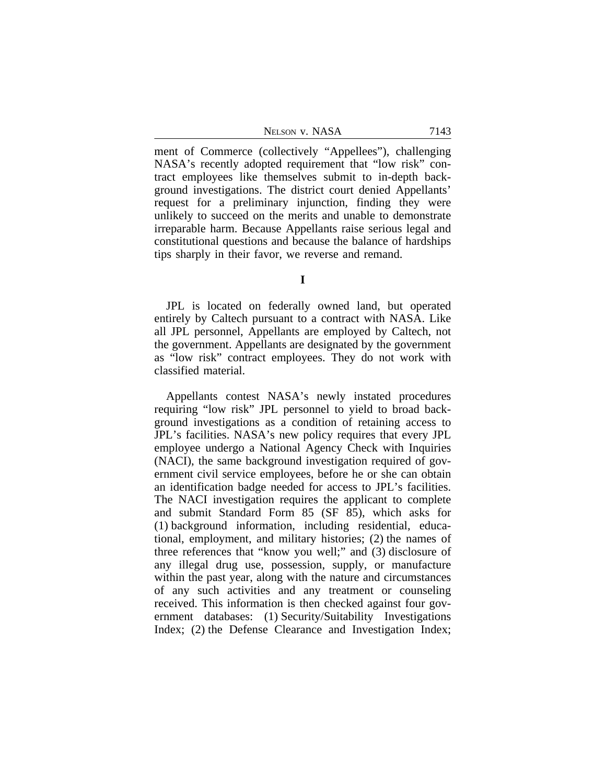NELSON V. NASA 7143

ment of Commerce (collectively "Appellees"), challenging NASA's recently adopted requirement that "low risk" contract employees like themselves submit to in-depth background investigations. The district court denied Appellants' request for a preliminary injunction, finding they were unlikely to succeed on the merits and unable to demonstrate irreparable harm. Because Appellants raise serious legal and constitutional questions and because the balance of hardships tips sharply in their favor, we reverse and remand.

**I**

JPL is located on federally owned land, but operated entirely by Caltech pursuant to a contract with NASA. Like all JPL personnel, Appellants are employed by Caltech, not the government. Appellants are designated by the government as "low risk" contract employees. They do not work with classified material.

Appellants contest NASA's newly instated procedures requiring "low risk" JPL personnel to yield to broad background investigations as a condition of retaining access to JPL's facilities. NASA's new policy requires that every JPL employee undergo a National Agency Check with Inquiries (NACI), the same background investigation required of government civil service employees, before he or she can obtain an identification badge needed for access to JPL's facilities. The NACI investigation requires the applicant to complete and submit Standard Form 85 (SF 85), which asks for (1) background information, including residential, educational, employment, and military histories; (2) the names of three references that "know you well;" and (3) disclosure of any illegal drug use, possession, supply, or manufacture within the past year, along with the nature and circumstances of any such activities and any treatment or counseling received. This information is then checked against four government databases: (1) Security/Suitability Investigations Index; (2) the Defense Clearance and Investigation Index;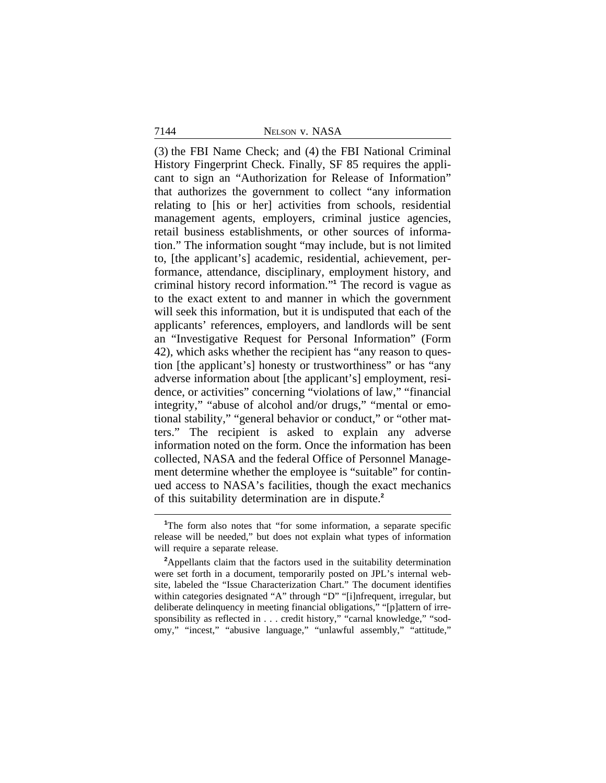#### 7144 NELSON v. NASA

(3) the FBI Name Check; and (4) the FBI National Criminal History Fingerprint Check. Finally, SF 85 requires the applicant to sign an "Authorization for Release of Information" that authorizes the government to collect "any information relating to [his or her] activities from schools, residential management agents, employers, criminal justice agencies, retail business establishments, or other sources of information." The information sought "may include, but is not limited to, [the applicant's] academic, residential, achievement, performance, attendance, disciplinary, employment history, and criminal history record information." **1** The record is vague as to the exact extent to and manner in which the government will seek this information, but it is undisputed that each of the applicants' references, employers, and landlords will be sent an "Investigative Request for Personal Information" (Form 42), which asks whether the recipient has "any reason to question [the applicant's] honesty or trustworthiness" or has "any adverse information about [the applicant's] employment, residence, or activities" concerning "violations of law," "financial integrity," "abuse of alcohol and/or drugs," "mental or emotional stability," "general behavior or conduct," or "other matters." The recipient is asked to explain any adverse information noted on the form. Once the information has been collected, NASA and the federal Office of Personnel Management determine whether the employee is "suitable" for continued access to NASA's facilities, though the exact mechanics of this suitability determination are in dispute.**<sup>2</sup>**

<sup>&</sup>lt;sup>1</sup>The form also notes that "for some information, a separate specific release will be needed," but does not explain what types of information will require a separate release.

**<sup>2</sup>**Appellants claim that the factors used in the suitability determination were set forth in a document, temporarily posted on JPL's internal website, labeled the "Issue Characterization Chart." The document identifies within categories designated "A" through "D" "[i]nfrequent, irregular, but deliberate delinquency in meeting financial obligations," "[p]attern of irresponsibility as reflected in . . . credit history," "carnal knowledge," "sodomy," "incest," "abusive language," "unlawful assembly," "attitude,"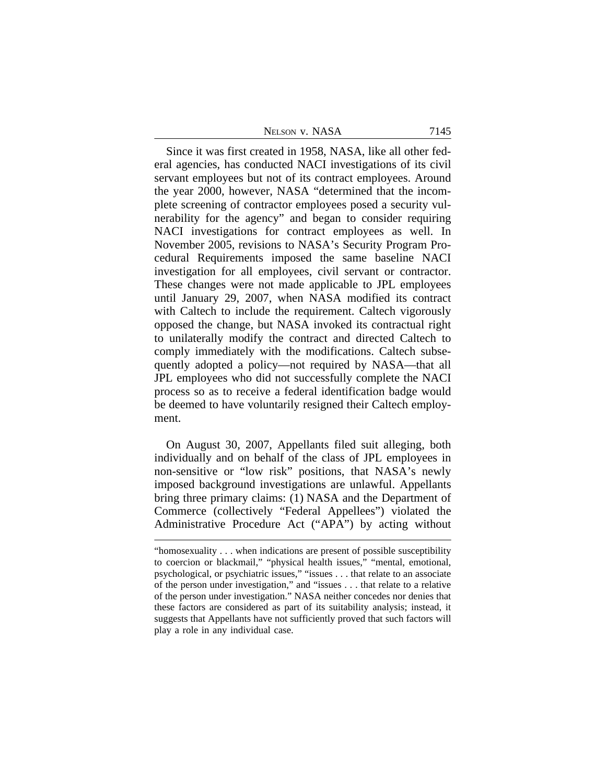| Nelson v. NASA |  |  |
|----------------|--|--|
|----------------|--|--|

Since it was first created in 1958, NASA, like all other federal agencies, has conducted NACI investigations of its civil servant employees but not of its contract employees. Around the year 2000, however, NASA "determined that the incomplete screening of contractor employees posed a security vulnerability for the agency" and began to consider requiring NACI investigations for contract employees as well. In November 2005, revisions to NASA's Security Program Procedural Requirements imposed the same baseline NACI investigation for all employees, civil servant or contractor. These changes were not made applicable to JPL employees until January 29, 2007, when NASA modified its contract with Caltech to include the requirement. Caltech vigorously opposed the change, but NASA invoked its contractual right to unilaterally modify the contract and directed Caltech to comply immediately with the modifications. Caltech subsequently adopted a policy—not required by NASA—that all JPL employees who did not successfully complete the NACI process so as to receive a federal identification badge would be deemed to have voluntarily resigned their Caltech employment.

On August 30, 2007, Appellants filed suit alleging, both individually and on behalf of the class of JPL employees in non-sensitive or "low risk" positions, that NASA's newly imposed background investigations are unlawful. Appellants bring three primary claims: (1) NASA and the Department of Commerce (collectively "Federal Appellees") violated the Administrative Procedure Act ("APA") by acting without

<sup>&</sup>quot;homosexuality . . . when indications are present of possible susceptibility to coercion or blackmail," "physical health issues," "mental, emotional, psychological, or psychiatric issues," "issues . . . that relate to an associate of the person under investigation," and "issues . . . that relate to a relative of the person under investigation." NASA neither concedes nor denies that these factors are considered as part of its suitability analysis; instead, it suggests that Appellants have not sufficiently proved that such factors will play a role in any individual case.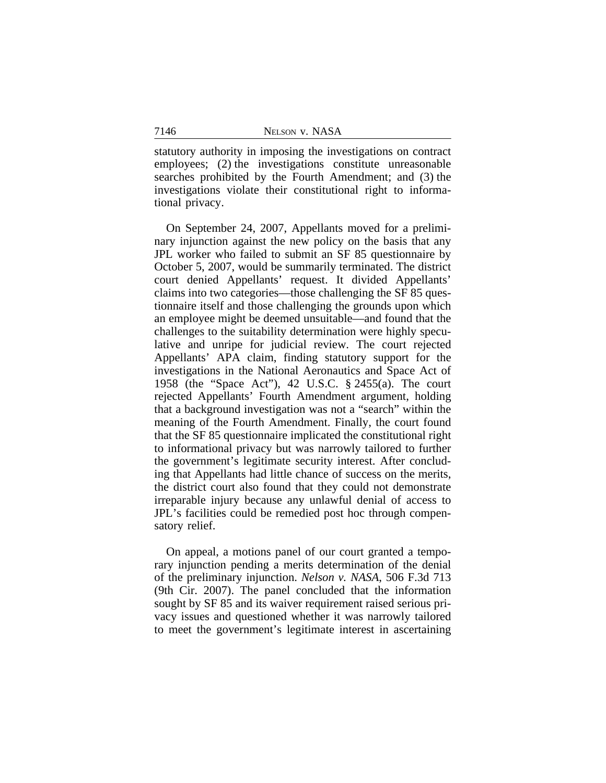statutory authority in imposing the investigations on contract employees; (2) the investigations constitute unreasonable searches prohibited by the Fourth Amendment; and (3) the investigations violate their constitutional right to informational privacy.

On September 24, 2007, Appellants moved for a preliminary injunction against the new policy on the basis that any JPL worker who failed to submit an SF 85 questionnaire by October 5, 2007, would be summarily terminated. The district court denied Appellants' request. It divided Appellants' claims into two categories—those challenging the SF 85 questionnaire itself and those challenging the grounds upon which an employee might be deemed unsuitable—and found that the challenges to the suitability determination were highly speculative and unripe for judicial review. The court rejected Appellants' APA claim, finding statutory support for the investigations in the National Aeronautics and Space Act of 1958 (the "Space Act"), 42 U.S.C. § 2455(a). The court rejected Appellants' Fourth Amendment argument, holding that a background investigation was not a "search" within the meaning of the Fourth Amendment. Finally, the court found that the SF 85 questionnaire implicated the constitutional right to informational privacy but was narrowly tailored to further the government's legitimate security interest. After concluding that Appellants had little chance of success on the merits, the district court also found that they could not demonstrate irreparable injury because any unlawful denial of access to JPL's facilities could be remedied post hoc through compensatory relief.

On appeal, a motions panel of our court granted a temporary injunction pending a merits determination of the denial of the preliminary injunction. *Nelson v. NASA*, 506 F.3d 713 (9th Cir. 2007). The panel concluded that the information sought by SF 85 and its waiver requirement raised serious privacy issues and questioned whether it was narrowly tailored to meet the government's legitimate interest in ascertaining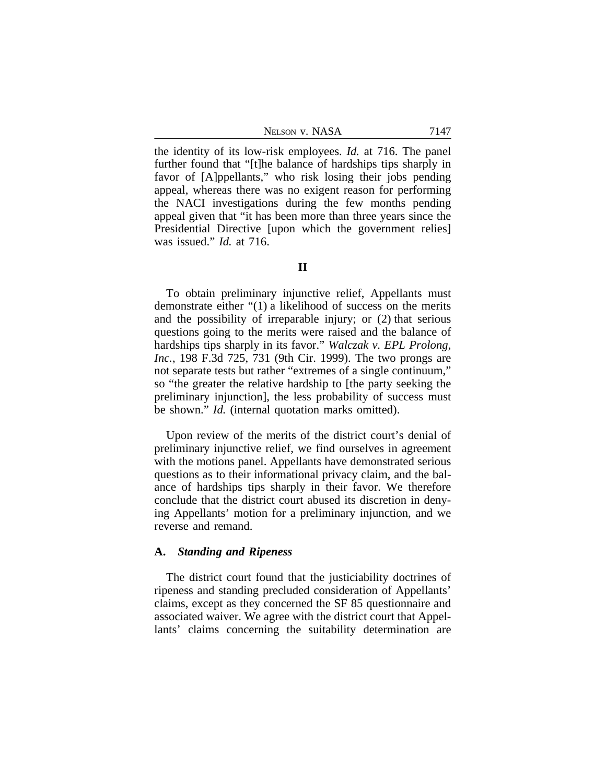NELSON V. NASA 7147

the identity of its low-risk employees. *Id.* at 716. The panel further found that "[t]he balance of hardships tips sharply in favor of [A]ppellants," who risk losing their jobs pending appeal, whereas there was no exigent reason for performing the NACI investigations during the few months pending appeal given that "it has been more than three years since the Presidential Directive [upon which the government relies] was issued." *Id.* at 716.

## **II**

To obtain preliminary injunctive relief, Appellants must demonstrate either "(1) a likelihood of success on the merits and the possibility of irreparable injury; or (2) that serious questions going to the merits were raised and the balance of hardships tips sharply in its favor." *Walczak v. EPL Prolong, Inc.*, 198 F.3d 725, 731 (9th Cir. 1999). The two prongs are not separate tests but rather "extremes of a single continuum," so "the greater the relative hardship to [the party seeking the preliminary injunction], the less probability of success must be shown." *Id.* (internal quotation marks omitted).

Upon review of the merits of the district court's denial of preliminary injunctive relief, we find ourselves in agreement with the motions panel. Appellants have demonstrated serious questions as to their informational privacy claim, and the balance of hardships tips sharply in their favor. We therefore conclude that the district court abused its discretion in denying Appellants' motion for a preliminary injunction, and we reverse and remand.

## **A.** *Standing and Ripeness*

The district court found that the justiciability doctrines of ripeness and standing precluded consideration of Appellants' claims, except as they concerned the SF 85 questionnaire and associated waiver. We agree with the district court that Appellants' claims concerning the suitability determination are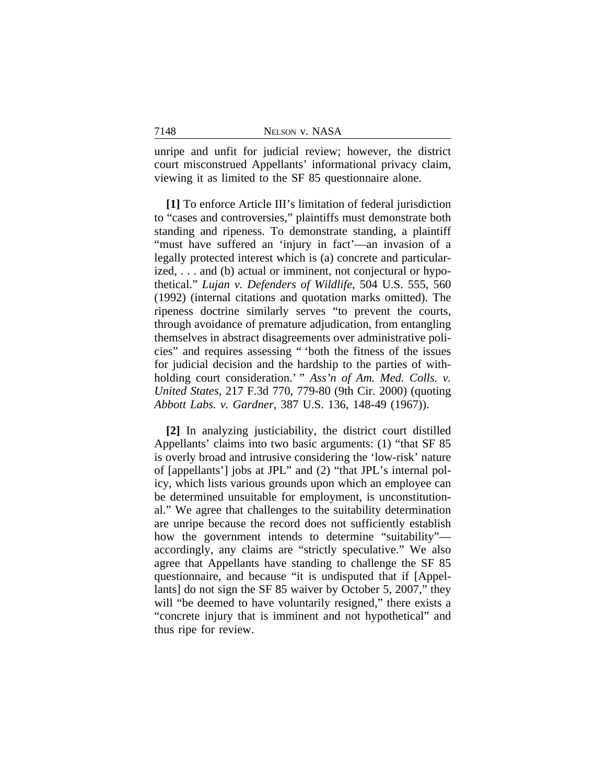unripe and unfit for judicial review; however, the district court misconstrued Appellants' informational privacy claim, viewing it as limited to the SF 85 questionnaire alone.

**[1]** To enforce Article III's limitation of federal jurisdiction to "cases and controversies," plaintiffs must demonstrate both standing and ripeness. To demonstrate standing, a plaintiff "must have suffered an 'injury in fact'—an invasion of a legally protected interest which is (a) concrete and particularized, . . . and (b) actual or imminent, not conjectural or hypothetical." *Lujan v. Defenders of Wildlife*, 504 U.S. 555, 560 (1992) (internal citations and quotation marks omitted). The ripeness doctrine similarly serves "to prevent the courts, through avoidance of premature adjudication, from entangling themselves in abstract disagreements over administrative policies" and requires assessing " 'both the fitness of the issues for judicial decision and the hardship to the parties of withholding court consideration.' " *Ass'n of Am. Med. Colls. v. United States*, 217 F.3d 770, 779-80 (9th Cir. 2000) (quoting *Abbott Labs. v. Gardner*, 387 U.S. 136, 148-49 (1967)).

**[2]** In analyzing justiciability, the district court distilled Appellants' claims into two basic arguments: (1) "that SF 85 is overly broad and intrusive considering the 'low-risk' nature of [appellants'] jobs at JPL" and (2) "that JPL's internal policy, which lists various grounds upon which an employee can be determined unsuitable for employment, is unconstitutional." We agree that challenges to the suitability determination are unripe because the record does not sufficiently establish how the government intends to determine "suitability" accordingly, any claims are "strictly speculative." We also agree that Appellants have standing to challenge the SF 85 questionnaire, and because "it is undisputed that if [Appellants] do not sign the SF 85 waiver by October 5, 2007," they will "be deemed to have voluntarily resigned," there exists a "concrete injury that is imminent and not hypothetical" and thus ripe for review.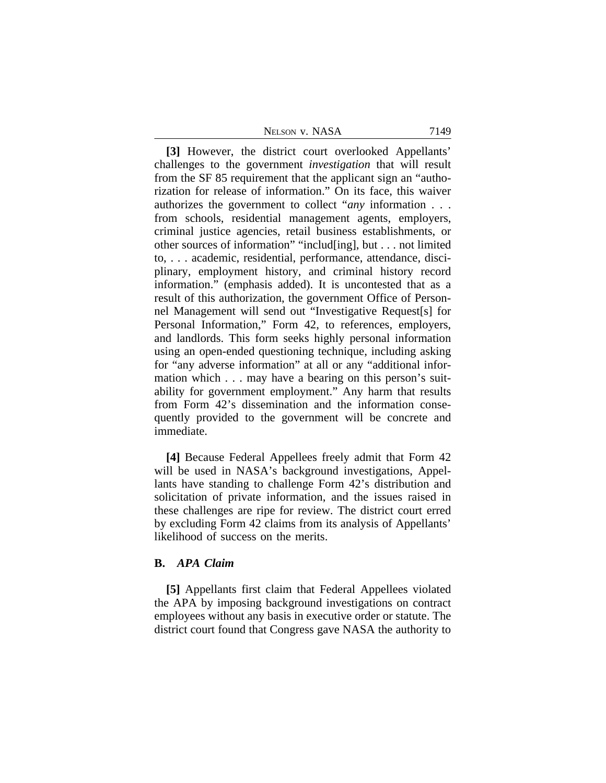| Nelson v. NASA |  |  |
|----------------|--|--|
|----------------|--|--|

**[3]** However, the district court overlooked Appellants' challenges to the government *investigation* that will result from the SF 85 requirement that the applicant sign an "authorization for release of information." On its face, this waiver authorizes the government to collect "*any* information . . . from schools, residential management agents, employers, criminal justice agencies, retail business establishments, or other sources of information" "includ[ing], but . . . not limited to, . . . academic, residential, performance, attendance, disciplinary, employment history, and criminal history record information." (emphasis added). It is uncontested that as a result of this authorization, the government Office of Personnel Management will send out "Investigative Request[s] for Personal Information," Form 42, to references, employers, and landlords. This form seeks highly personal information using an open-ended questioning technique, including asking for "any adverse information" at all or any "additional information which . . . may have a bearing on this person's suitability for government employment." Any harm that results from Form 42's dissemination and the information consequently provided to the government will be concrete and immediate.

**[4]** Because Federal Appellees freely admit that Form 42 will be used in NASA's background investigations, Appellants have standing to challenge Form 42's distribution and solicitation of private information, and the issues raised in these challenges are ripe for review. The district court erred by excluding Form 42 claims from its analysis of Appellants' likelihood of success on the merits.

#### **B.** *APA Claim*

**[5]** Appellants first claim that Federal Appellees violated the APA by imposing background investigations on contract employees without any basis in executive order or statute. The district court found that Congress gave NASA the authority to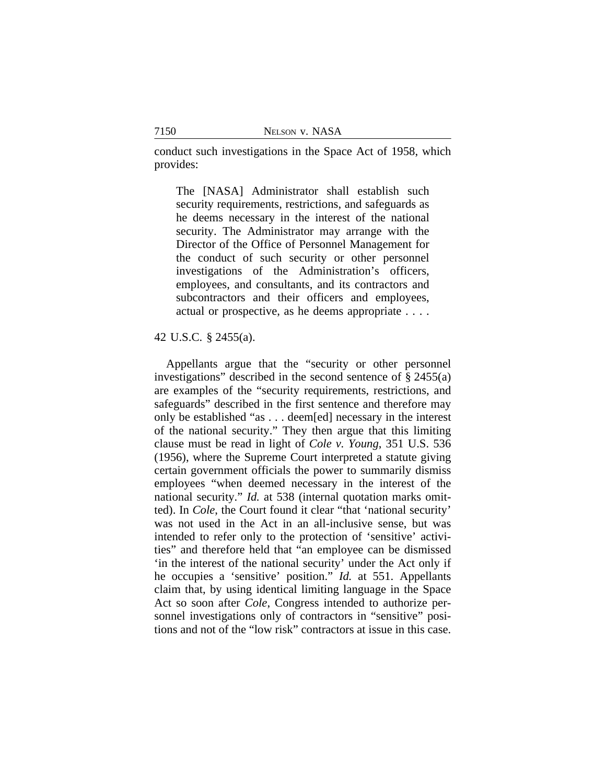conduct such investigations in the Space Act of 1958, which provides:

The [NASA] Administrator shall establish such security requirements, restrictions, and safeguards as he deems necessary in the interest of the national security. The Administrator may arrange with the Director of the Office of Personnel Management for the conduct of such security or other personnel investigations of the Administration's officers, employees, and consultants, and its contractors and subcontractors and their officers and employees, actual or prospective, as he deems appropriate . . . .

# 42 U.S.C. § 2455(a).

Appellants argue that the "security or other personnel investigations" described in the second sentence of  $\S$  2455(a) are examples of the "security requirements, restrictions, and safeguards" described in the first sentence and therefore may only be established "as . . . deem[ed] necessary in the interest of the national security." They then argue that this limiting clause must be read in light of *Cole v. Young*, 351 U.S. 536 (1956), where the Supreme Court interpreted a statute giving certain government officials the power to summarily dismiss employees "when deemed necessary in the interest of the national security." *Id.* at 538 (internal quotation marks omitted). In *Cole*, the Court found it clear "that 'national security' was not used in the Act in an all-inclusive sense, but was intended to refer only to the protection of 'sensitive' activities" and therefore held that "an employee can be dismissed 'in the interest of the national security' under the Act only if he occupies a 'sensitive' position." *Id.* at 551. Appellants claim that, by using identical limiting language in the Space Act so soon after *Cole*, Congress intended to authorize personnel investigations only of contractors in "sensitive" positions and not of the "low risk" contractors at issue in this case.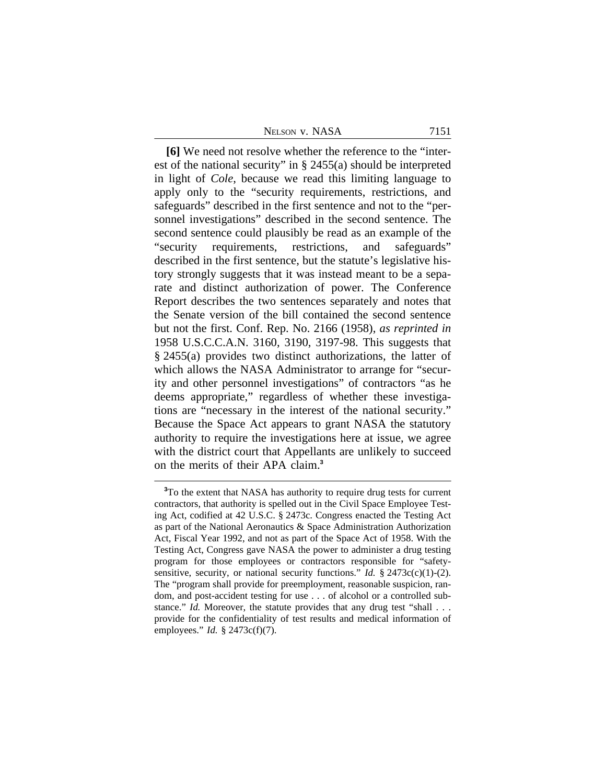NELSON V. NASA 7151

**[6]** We need not resolve whether the reference to the "interest of the national security" in § 2455(a) should be interpreted in light of *Cole*, because we read this limiting language to apply only to the "security requirements, restrictions, and safeguards" described in the first sentence and not to the "personnel investigations" described in the second sentence. The second sentence could plausibly be read as an example of the "security requirements, restrictions, and safeguards" described in the first sentence, but the statute's legislative history strongly suggests that it was instead meant to be a separate and distinct authorization of power. The Conference Report describes the two sentences separately and notes that the Senate version of the bill contained the second sentence but not the first. Conf. Rep. No. 2166 (1958), *as reprinted in* 1958 U.S.C.C.A.N. 3160, 3190, 3197-98. This suggests that § 2455(a) provides two distinct authorizations, the latter of which allows the NASA Administrator to arrange for "security and other personnel investigations" of contractors "as he deems appropriate," regardless of whether these investigations are "necessary in the interest of the national security." Because the Space Act appears to grant NASA the statutory authority to require the investigations here at issue, we agree with the district court that Appellants are unlikely to succeed on the merits of their APA claim.**<sup>3</sup>**

**<sup>3</sup>**To the extent that NASA has authority to require drug tests for current contractors, that authority is spelled out in the Civil Space Employee Testing Act, codified at 42 U.S.C. § 2473c. Congress enacted the Testing Act as part of the National Aeronautics & Space Administration Authorization Act, Fiscal Year 1992, and not as part of the Space Act of 1958. With the Testing Act, Congress gave NASA the power to administer a drug testing program for those employees or contractors responsible for "safetysensitive, security, or national security functions." *Id.* § 2473c(c)(1)-(2). The "program shall provide for preemployment, reasonable suspicion, random, and post-accident testing for use . . . of alcohol or a controlled substance." *Id.* Moreover, the statute provides that any drug test "shall . . . provide for the confidentiality of test results and medical information of employees." *Id.* § 2473c(f)(7).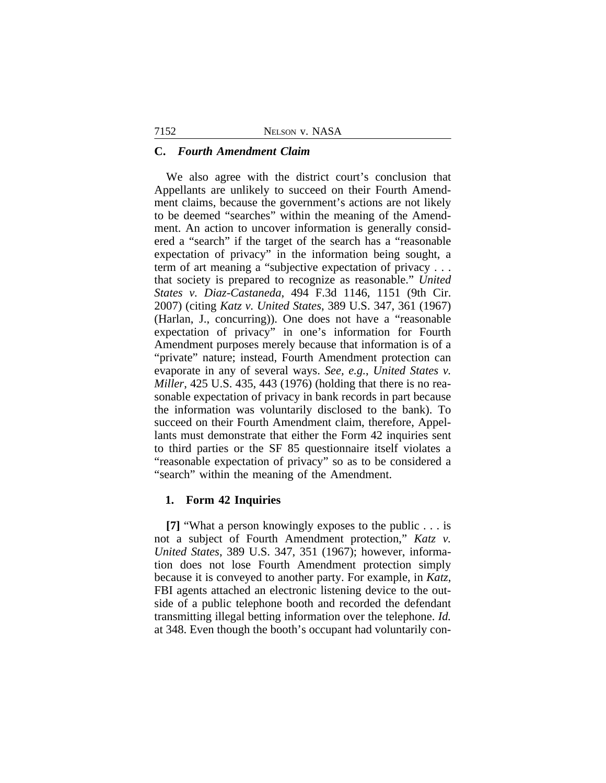#### **C.** *Fourth Amendment Claim*

We also agree with the district court's conclusion that Appellants are unlikely to succeed on their Fourth Amendment claims, because the government's actions are not likely to be deemed "searches" within the meaning of the Amendment. An action to uncover information is generally considered a "search" if the target of the search has a "reasonable expectation of privacy" in the information being sought, a term of art meaning a "subjective expectation of privacy . . . that society is prepared to recognize as reasonable." *United States v. Diaz-Castaneda*, 494 F.3d 1146, 1151 (9th Cir. 2007) (citing *Katz v. United States*, 389 U.S. 347, 361 (1967) (Harlan, J., concurring)). One does not have a "reasonable expectation of privacy" in one's information for Fourth Amendment purposes merely because that information is of a "private" nature; instead, Fourth Amendment protection can evaporate in any of several ways. *See, e.g.*, *United States v. Miller*, 425 U.S. 435, 443 (1976) (holding that there is no reasonable expectation of privacy in bank records in part because the information was voluntarily disclosed to the bank). To succeed on their Fourth Amendment claim, therefore, Appellants must demonstrate that either the Form 42 inquiries sent to third parties or the SF 85 questionnaire itself violates a "reasonable expectation of privacy" so as to be considered a "search" within the meaning of the Amendment.

## **1. Form 42 Inquiries**

**[7]** "What a person knowingly exposes to the public . . . is not a subject of Fourth Amendment protection," *Katz v. United States*, 389 U.S. 347, 351 (1967); however, information does not lose Fourth Amendment protection simply because it is conveyed to another party. For example, in *Katz*, FBI agents attached an electronic listening device to the outside of a public telephone booth and recorded the defendant transmitting illegal betting information over the telephone. *Id.* at 348. Even though the booth's occupant had voluntarily con-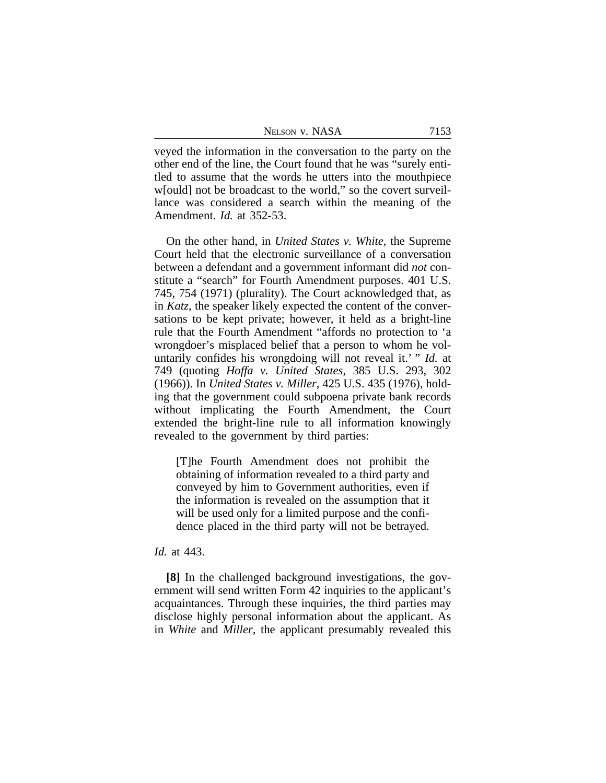veyed the information in the conversation to the party on the other end of the line, the Court found that he was "surely entitled to assume that the words he utters into the mouthpiece w[ould] not be broadcast to the world," so the covert surveillance was considered a search within the meaning of the Amendment. *Id.* at 352-53.

On the other hand, in *United States v. White*, the Supreme Court held that the electronic surveillance of a conversation between a defendant and a government informant did *not* constitute a "search" for Fourth Amendment purposes. 401 U.S. 745, 754 (1971) (plurality). The Court acknowledged that, as in *Katz*, the speaker likely expected the content of the conversations to be kept private; however, it held as a bright-line rule that the Fourth Amendment "affords no protection to 'a wrongdoer's misplaced belief that a person to whom he voluntarily confides his wrongdoing will not reveal it.' " *Id.* at 749 (quoting *Hoffa v. United States*, 385 U.S. 293, 302 (1966)). In *United States v. Miller*, 425 U.S. 435 (1976), holding that the government could subpoena private bank records without implicating the Fourth Amendment, the Court extended the bright-line rule to all information knowingly revealed to the government by third parties:

[T]he Fourth Amendment does not prohibit the obtaining of information revealed to a third party and conveyed by him to Government authorities, even if the information is revealed on the assumption that it will be used only for a limited purpose and the confidence placed in the third party will not be betrayed.

## *Id.* at 443.

**[8]** In the challenged background investigations, the government will send written Form 42 inquiries to the applicant's acquaintances. Through these inquiries, the third parties may disclose highly personal information about the applicant. As in *White* and *Miller*, the applicant presumably revealed this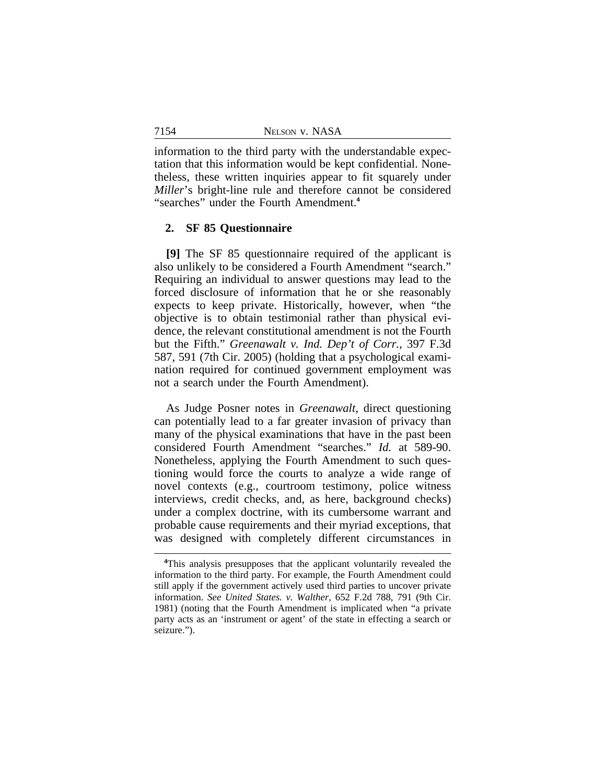information to the third party with the understandable expectation that this information would be kept confidential. Nonetheless, these written inquiries appear to fit squarely under *Miller*'s bright-line rule and therefore cannot be considered "searches" under the Fourth Amendment.**<sup>4</sup>**

## **2. SF 85 Questionnaire**

**[9]** The SF 85 questionnaire required of the applicant is also unlikely to be considered a Fourth Amendment "search." Requiring an individual to answer questions may lead to the forced disclosure of information that he or she reasonably expects to keep private. Historically, however, when "the objective is to obtain testimonial rather than physical evidence, the relevant constitutional amendment is not the Fourth but the Fifth." *Greenawalt v. Ind. Dep't of Corr.*, 397 F.3d 587, 591 (7th Cir. 2005) (holding that a psychological examination required for continued government employment was not a search under the Fourth Amendment).

As Judge Posner notes in *Greenawalt*, direct questioning can potentially lead to a far greater invasion of privacy than many of the physical examinations that have in the past been considered Fourth Amendment "searches." *Id.* at 589-90. Nonetheless, applying the Fourth Amendment to such questioning would force the courts to analyze a wide range of novel contexts (e.g., courtroom testimony, police witness interviews, credit checks, and, as here, background checks) under a complex doctrine, with its cumbersome warrant and probable cause requirements and their myriad exceptions, that was designed with completely different circumstances in

**<sup>4</sup>**This analysis presupposes that the applicant voluntarily revealed the information to the third party. For example, the Fourth Amendment could still apply if the government actively used third parties to uncover private information. *See United States. v. Walther*, 652 F.2d 788, 791 (9th Cir. 1981) (noting that the Fourth Amendment is implicated when "a private party acts as an 'instrument or agent' of the state in effecting a search or seizure.").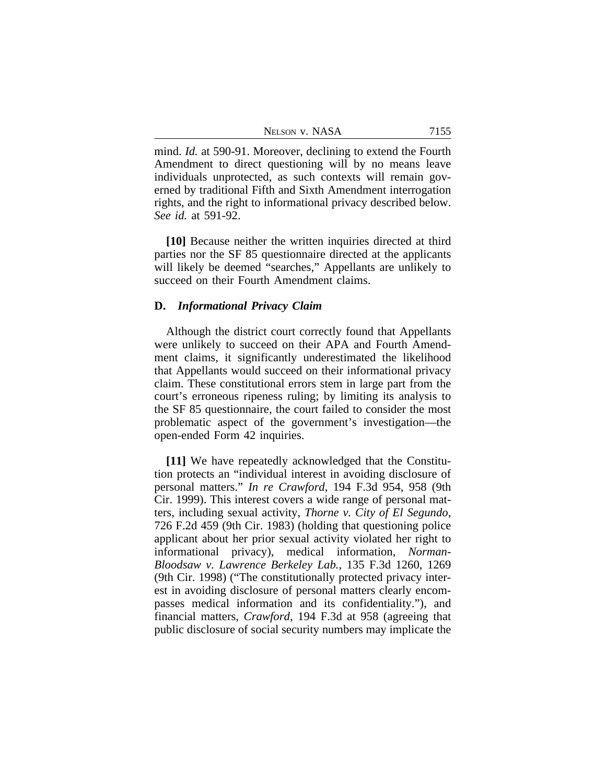| Nelson v. NASA |  |
|----------------|--|
|----------------|--|

mind. *Id.* at 590-91. Moreover, declining to extend the Fourth Amendment to direct questioning will by no means leave individuals unprotected, as such contexts will remain governed by traditional Fifth and Sixth Amendment interrogation rights, and the right to informational privacy described below. *See id.* at 591-92.

**[10]** Because neither the written inquiries directed at third parties nor the SF 85 questionnaire directed at the applicants will likely be deemed "searches," Appellants are unlikely to succeed on their Fourth Amendment claims.

#### **D.** *Informational Privacy Claim*

Although the district court correctly found that Appellants were unlikely to succeed on their APA and Fourth Amendment claims, it significantly underestimated the likelihood that Appellants would succeed on their informational privacy claim. These constitutional errors stem in large part from the court's erroneous ripeness ruling; by limiting its analysis to the SF 85 questionnaire, the court failed to consider the most problematic aspect of the government's investigation—the open-ended Form 42 inquiries.

**[11]** We have repeatedly acknowledged that the Constitution protects an "individual interest in avoiding disclosure of personal matters." *In re Crawford*, 194 F.3d 954, 958 (9th Cir. 1999). This interest covers a wide range of personal matters, including sexual activity, *Thorne v. City of El Segundo*, 726 F.2d 459 (9th Cir. 1983) (holding that questioning police applicant about her prior sexual activity violated her right to informational privacy), medical information, *Norman-Bloodsaw v. Lawrence Berkeley Lab.*, 135 F.3d 1260, 1269 (9th Cir. 1998) ("The constitutionally protected privacy interest in avoiding disclosure of personal matters clearly encompasses medical information and its confidentiality."), and financial matters, *Crawford*, 194 F.3d at 958 (agreeing that public disclosure of social security numbers may implicate the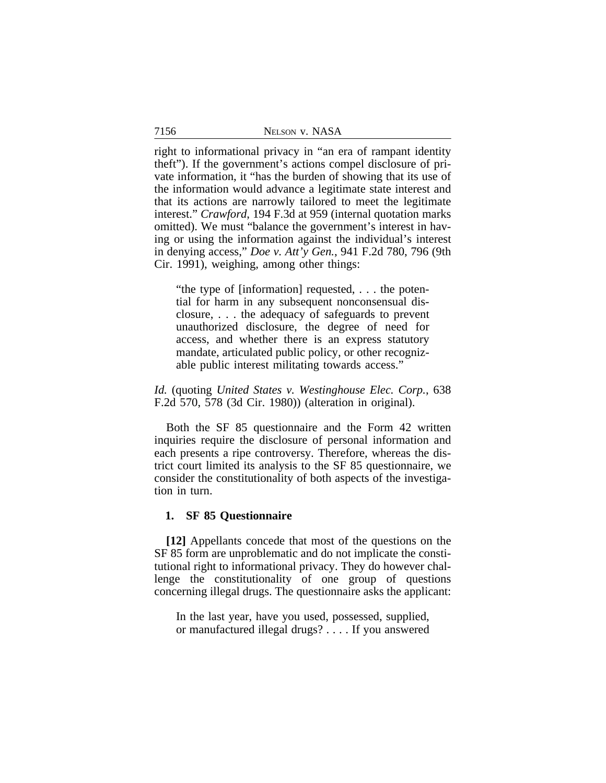right to informational privacy in "an era of rampant identity theft"). If the government's actions compel disclosure of private information, it "has the burden of showing that its use of the information would advance a legitimate state interest and that its actions are narrowly tailored to meet the legitimate interest." *Crawford*, 194 F.3d at 959 (internal quotation marks omitted). We must "balance the government's interest in having or using the information against the individual's interest in denying access," *Doe v. Att'y Gen.*, 941 F.2d 780, 796 (9th Cir. 1991), weighing, among other things:

"the type of [information] requested, . . . the potential for harm in any subsequent nonconsensual disclosure, . . . the adequacy of safeguards to prevent unauthorized disclosure, the degree of need for access, and whether there is an express statutory mandate, articulated public policy, or other recognizable public interest militating towards access."

*Id.* (quoting *United States v. Westinghouse Elec. Corp.*, 638 F.2d 570, 578 (3d Cir. 1980)) (alteration in original).

Both the SF 85 questionnaire and the Form 42 written inquiries require the disclosure of personal information and each presents a ripe controversy. Therefore, whereas the district court limited its analysis to the SF 85 questionnaire, we consider the constitutionality of both aspects of the investigation in turn.

#### **1. SF 85 Questionnaire**

**[12]** Appellants concede that most of the questions on the SF 85 form are unproblematic and do not implicate the constitutional right to informational privacy. They do however challenge the constitutionality of one group of questions concerning illegal drugs. The questionnaire asks the applicant:

In the last year, have you used, possessed, supplied, or manufactured illegal drugs? . . . . If you answered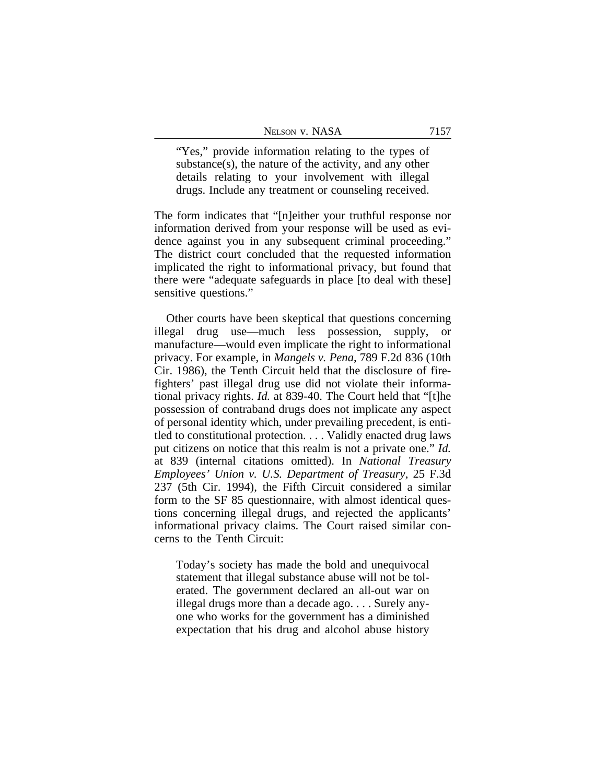"Yes," provide information relating to the types of substance(s), the nature of the activity, and any other details relating to your involvement with illegal drugs. Include any treatment or counseling received.

The form indicates that "[n]either your truthful response nor information derived from your response will be used as evidence against you in any subsequent criminal proceeding." The district court concluded that the requested information implicated the right to informational privacy, but found that there were "adequate safeguards in place [to deal with these] sensitive questions."

Other courts have been skeptical that questions concerning illegal drug use—much less possession, supply, or manufacture—would even implicate the right to informational privacy. For example, in *Mangels v. Pena*, 789 F.2d 836 (10th Cir. 1986), the Tenth Circuit held that the disclosure of firefighters' past illegal drug use did not violate their informational privacy rights. *Id.* at 839-40. The Court held that "[t]he possession of contraband drugs does not implicate any aspect of personal identity which, under prevailing precedent, is entitled to constitutional protection. . . . Validly enacted drug laws put citizens on notice that this realm is not a private one." *Id.* at 839 (internal citations omitted). In *National Treasury Employees' Union v. U.S. Department of Treasury*, 25 F.3d 237 (5th Cir. 1994), the Fifth Circuit considered a similar form to the SF 85 questionnaire, with almost identical questions concerning illegal drugs, and rejected the applicants' informational privacy claims. The Court raised similar concerns to the Tenth Circuit:

Today's society has made the bold and unequivocal statement that illegal substance abuse will not be tolerated. The government declared an all-out war on illegal drugs more than a decade ago. . . . Surely anyone who works for the government has a diminished expectation that his drug and alcohol abuse history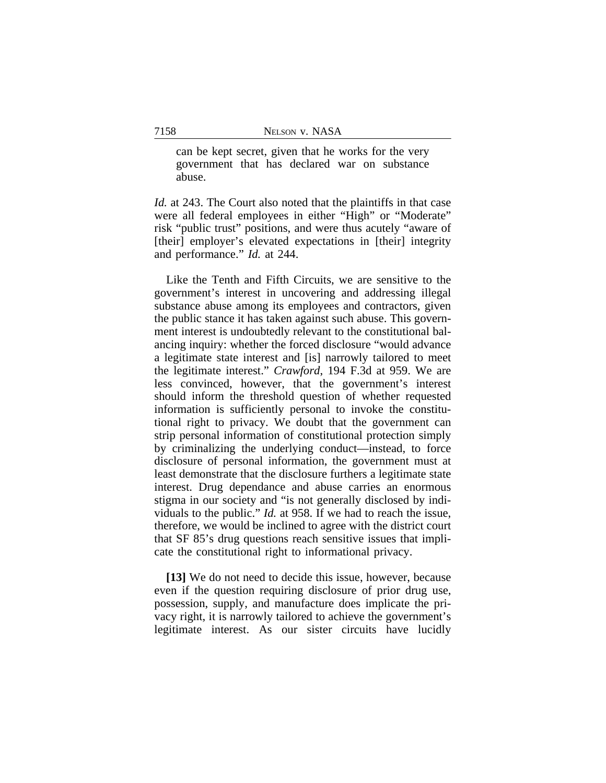can be kept secret, given that he works for the very government that has declared war on substance abuse.

*Id.* at 243. The Court also noted that the plaintiffs in that case were all federal employees in either "High" or "Moderate" risk "public trust" positions, and were thus acutely "aware of [their] employer's elevated expectations in [their] integrity and performance." *Id.* at 244.

Like the Tenth and Fifth Circuits, we are sensitive to the government's interest in uncovering and addressing illegal substance abuse among its employees and contractors, given the public stance it has taken against such abuse. This government interest is undoubtedly relevant to the constitutional balancing inquiry: whether the forced disclosure "would advance a legitimate state interest and [is] narrowly tailored to meet the legitimate interest." *Crawford*, 194 F.3d at 959. We are less convinced, however, that the government's interest should inform the threshold question of whether requested information is sufficiently personal to invoke the constitutional right to privacy. We doubt that the government can strip personal information of constitutional protection simply by criminalizing the underlying conduct—instead, to force disclosure of personal information, the government must at least demonstrate that the disclosure furthers a legitimate state interest. Drug dependance and abuse carries an enormous stigma in our society and "is not generally disclosed by individuals to the public." *Id.* at 958. If we had to reach the issue, therefore, we would be inclined to agree with the district court that SF 85's drug questions reach sensitive issues that implicate the constitutional right to informational privacy.

**[13]** We do not need to decide this issue, however, because even if the question requiring disclosure of prior drug use, possession, supply, and manufacture does implicate the privacy right, it is narrowly tailored to achieve the government's legitimate interest. As our sister circuits have lucidly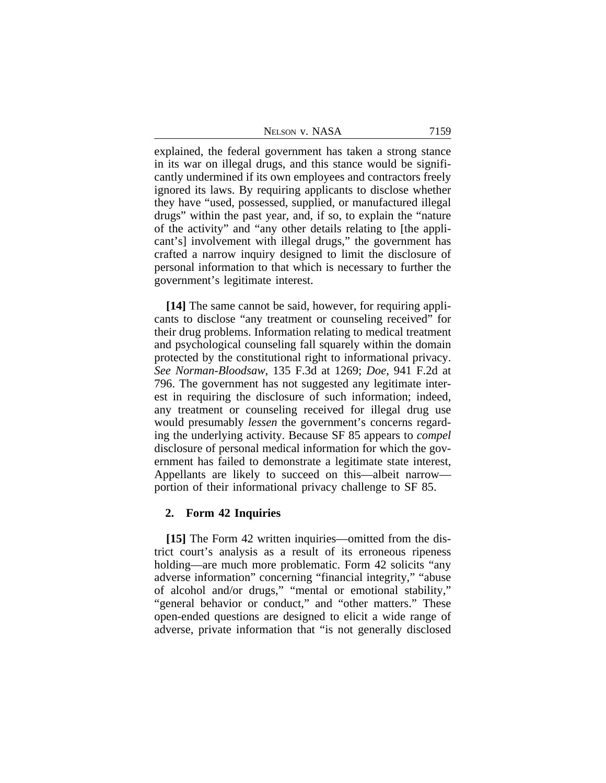| Nelson v. NASA |  |  |
|----------------|--|--|
|                |  |  |

explained, the federal government has taken a strong stance in its war on illegal drugs, and this stance would be significantly undermined if its own employees and contractors freely ignored its laws. By requiring applicants to disclose whether they have "used, possessed, supplied, or manufactured illegal drugs" within the past year, and, if so, to explain the "nature of the activity" and "any other details relating to [the applicant's] involvement with illegal drugs," the government has crafted a narrow inquiry designed to limit the disclosure of personal information to that which is necessary to further the government's legitimate interest.

**[14]** The same cannot be said, however, for requiring applicants to disclose "any treatment or counseling received" for their drug problems. Information relating to medical treatment and psychological counseling fall squarely within the domain protected by the constitutional right to informational privacy. *See Norman-Bloodsaw*, 135 F.3d at 1269; *Doe*, 941 F.2d at 796. The government has not suggested any legitimate interest in requiring the disclosure of such information; indeed, any treatment or counseling received for illegal drug use would presumably *lessen* the government's concerns regarding the underlying activity. Because SF 85 appears to *compel* disclosure of personal medical information for which the government has failed to demonstrate a legitimate state interest, Appellants are likely to succeed on this—albeit narrow portion of their informational privacy challenge to SF 85.

#### **2. Form 42 Inquiries**

**[15]** The Form 42 written inquiries—omitted from the district court's analysis as a result of its erroneous ripeness holding—are much more problematic. Form 42 solicits "any adverse information" concerning "financial integrity," "abuse of alcohol and/or drugs," "mental or emotional stability," "general behavior or conduct," and "other matters." These open-ended questions are designed to elicit a wide range of adverse, private information that "is not generally disclosed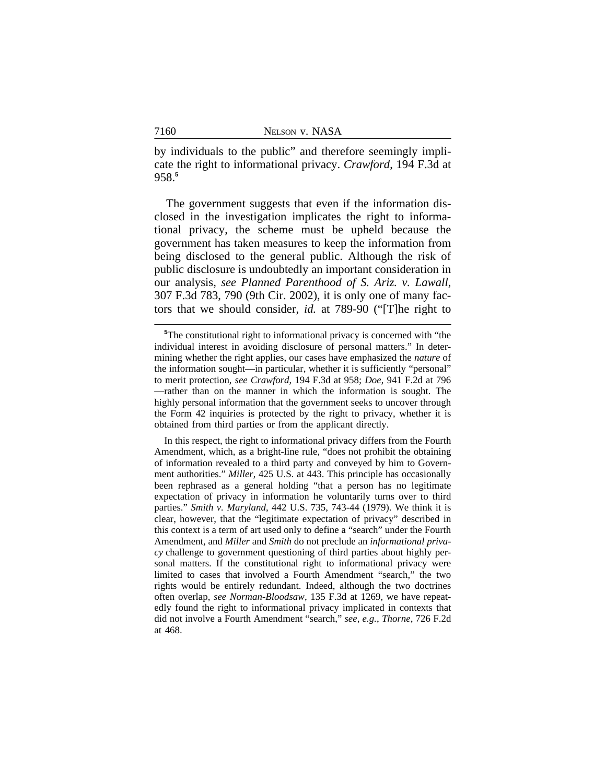by individuals to the public" and therefore seemingly implicate the right to informational privacy. *Crawford*, 194 F.3d at 958.**<sup>5</sup>**

The government suggests that even if the information disclosed in the investigation implicates the right to informational privacy, the scheme must be upheld because the government has taken measures to keep the information from being disclosed to the general public. Although the risk of public disclosure is undoubtedly an important consideration in our analysis, *see Planned Parenthood of S. Ariz. v. Lawall*, 307 F.3d 783, 790 (9th Cir. 2002), it is only one of many factors that we should consider, *id.* at 789-90 ("[T]he right to

**<sup>5</sup>**The constitutional right to informational privacy is concerned with "the individual interest in avoiding disclosure of personal matters." In determining whether the right applies, our cases have emphasized the *nature* of the information sought—in particular, whether it is sufficiently "personal" to merit protection, *see Crawford*, 194 F.3d at 958; *Doe*, 941 F.2d at 796 —rather than on the manner in which the information is sought. The highly personal information that the government seeks to uncover through the Form 42 inquiries is protected by the right to privacy, whether it is obtained from third parties or from the applicant directly.

In this respect, the right to informational privacy differs from the Fourth Amendment, which, as a bright-line rule, "does not prohibit the obtaining of information revealed to a third party and conveyed by him to Government authorities." *Miller*, 425 U.S. at 443. This principle has occasionally been rephrased as a general holding "that a person has no legitimate expectation of privacy in information he voluntarily turns over to third parties." *Smith v. Maryland*, 442 U.S. 735, 743-44 (1979). We think it is clear, however, that the "legitimate expectation of privacy" described in this context is a term of art used only to define a "search" under the Fourth Amendment, and *Miller* and *Smith* do not preclude an *informational privacy* challenge to government questioning of third parties about highly personal matters. If the constitutional right to informational privacy were limited to cases that involved a Fourth Amendment "search," the two rights would be entirely redundant. Indeed, although the two doctrines often overlap, *see Norman-Bloodsaw*, 135 F.3d at 1269, we have repeatedly found the right to informational privacy implicated in contexts that did not involve a Fourth Amendment "search," *see, e.g.*, *Thorne*, 726 F.2d at 468.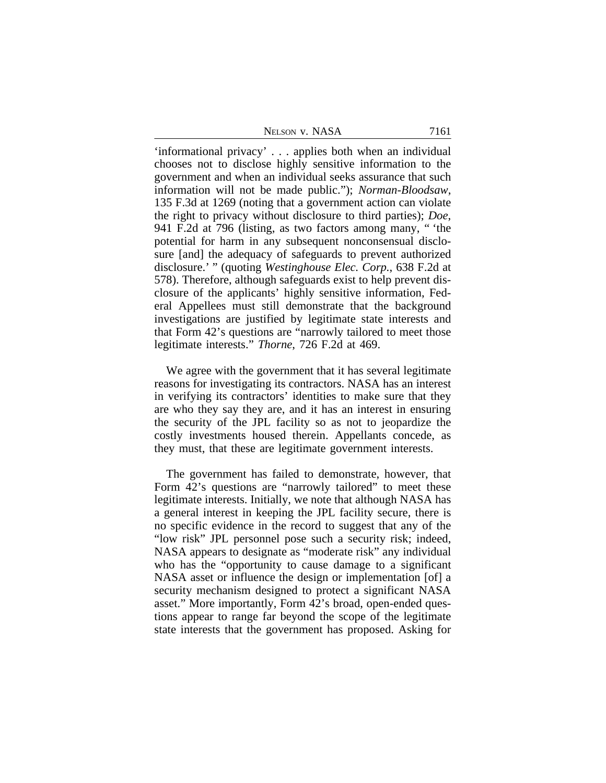'informational privacy' . . . applies both when an individual chooses not to disclose highly sensitive information to the government and when an individual seeks assurance that such information will not be made public."); *Norman-Bloodsaw*, 135 F.3d at 1269 (noting that a government action can violate the right to privacy without disclosure to third parties); *Doe*, 941 F.2d at 796 (listing, as two factors among many, " 'the potential for harm in any subsequent nonconsensual disclosure [and] the adequacy of safeguards to prevent authorized disclosure.' " (quoting *Westinghouse Elec. Corp.*, 638 F.2d at 578). Therefore, although safeguards exist to help prevent disclosure of the applicants' highly sensitive information, Federal Appellees must still demonstrate that the background investigations are justified by legitimate state interests and that Form 42's questions are "narrowly tailored to meet those legitimate interests." *Thorne*, 726 F.2d at 469.

We agree with the government that it has several legitimate reasons for investigating its contractors. NASA has an interest in verifying its contractors' identities to make sure that they are who they say they are, and it has an interest in ensuring the security of the JPL facility so as not to jeopardize the costly investments housed therein. Appellants concede, as they must, that these are legitimate government interests.

The government has failed to demonstrate, however, that Form 42's questions are "narrowly tailored" to meet these legitimate interests. Initially, we note that although NASA has a general interest in keeping the JPL facility secure, there is no specific evidence in the record to suggest that any of the "low risk" JPL personnel pose such a security risk; indeed, NASA appears to designate as "moderate risk" any individual who has the "opportunity to cause damage to a significant NASA asset or influence the design or implementation [of] a security mechanism designed to protect a significant NASA asset." More importantly, Form 42's broad, open-ended questions appear to range far beyond the scope of the legitimate state interests that the government has proposed. Asking for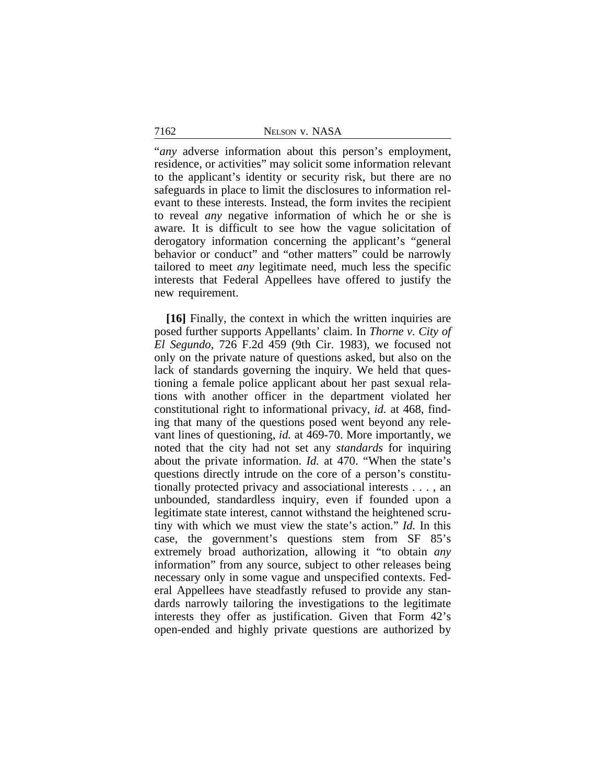"*any* adverse information about this person's employment, residence, or activities" may solicit some information relevant to the applicant's identity or security risk, but there are no safeguards in place to limit the disclosures to information relevant to these interests. Instead, the form invites the recipient to reveal *any* negative information of which he or she is aware. It is difficult to see how the vague solicitation of derogatory information concerning the applicant's "general behavior or conduct" and "other matters" could be narrowly tailored to meet *any* legitimate need, much less the specific interests that Federal Appellees have offered to justify the new requirement.

**[16]** Finally, the context in which the written inquiries are posed further supports Appellants' claim. In *Thorne v. City of El Segundo*, 726 F.2d 459 (9th Cir. 1983), we focused not only on the private nature of questions asked, but also on the lack of standards governing the inquiry. We held that questioning a female police applicant about her past sexual relations with another officer in the department violated her constitutional right to informational privacy, *id.* at 468, finding that many of the questions posed went beyond any relevant lines of questioning, *id.* at 469-70. More importantly, we noted that the city had not set any *standards* for inquiring about the private information. *Id.* at 470. "When the state's questions directly intrude on the core of a person's constitutionally protected privacy and associational interests . . . , an unbounded, standardless inquiry, even if founded upon a legitimate state interest, cannot withstand the heightened scrutiny with which we must view the state's action." *Id.* In this case, the government's questions stem from SF 85's extremely broad authorization, allowing it "to obtain *any* information" from any source, subject to other releases being necessary only in some vague and unspecified contexts. Federal Appellees have steadfastly refused to provide any standards narrowly tailoring the investigations to the legitimate interests they offer as justification. Given that Form 42's open-ended and highly private questions are authorized by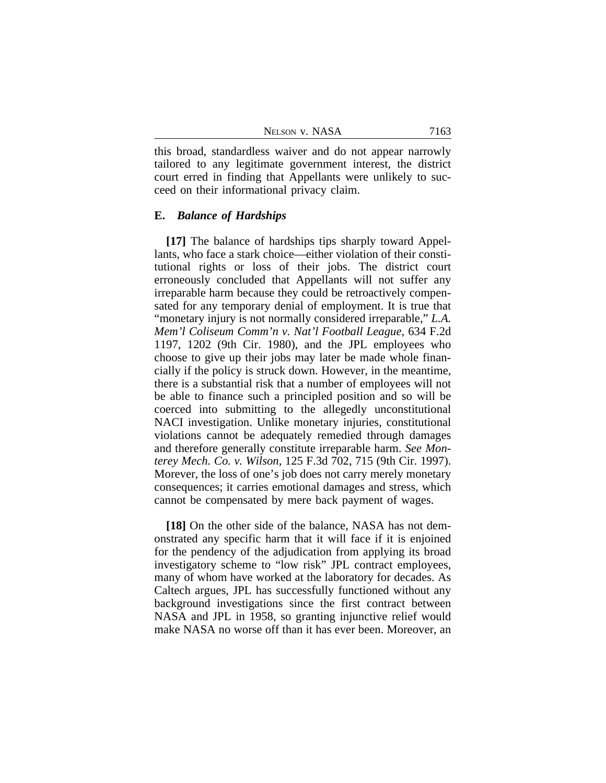NELSON V. NASA 7163

this broad, standardless waiver and do not appear narrowly tailored to any legitimate government interest, the district court erred in finding that Appellants were unlikely to succeed on their informational privacy claim.

#### **E.** *Balance of Hardships*

**[17]** The balance of hardships tips sharply toward Appellants, who face a stark choice—either violation of their constitutional rights or loss of their jobs. The district court erroneously concluded that Appellants will not suffer any irreparable harm because they could be retroactively compensated for any temporary denial of employment. It is true that "monetary injury is not normally considered irreparable," *L.A. Mem'l Coliseum Comm'n v. Nat'l Football League*, 634 F.2d 1197, 1202 (9th Cir. 1980), and the JPL employees who choose to give up their jobs may later be made whole financially if the policy is struck down. However, in the meantime, there is a substantial risk that a number of employees will not be able to finance such a principled position and so will be coerced into submitting to the allegedly unconstitutional NACI investigation. Unlike monetary injuries, constitutional violations cannot be adequately remedied through damages and therefore generally constitute irreparable harm. *See Monterey Mech. Co. v. Wilson*, 125 F.3d 702, 715 (9th Cir. 1997). Morever, the loss of one's job does not carry merely monetary consequences; it carries emotional damages and stress, which cannot be compensated by mere back payment of wages.

**[18]** On the other side of the balance, NASA has not demonstrated any specific harm that it will face if it is enjoined for the pendency of the adjudication from applying its broad investigatory scheme to "low risk" JPL contract employees, many of whom have worked at the laboratory for decades. As Caltech argues, JPL has successfully functioned without any background investigations since the first contract between NASA and JPL in 1958, so granting injunctive relief would make NASA no worse off than it has ever been. Moreover, an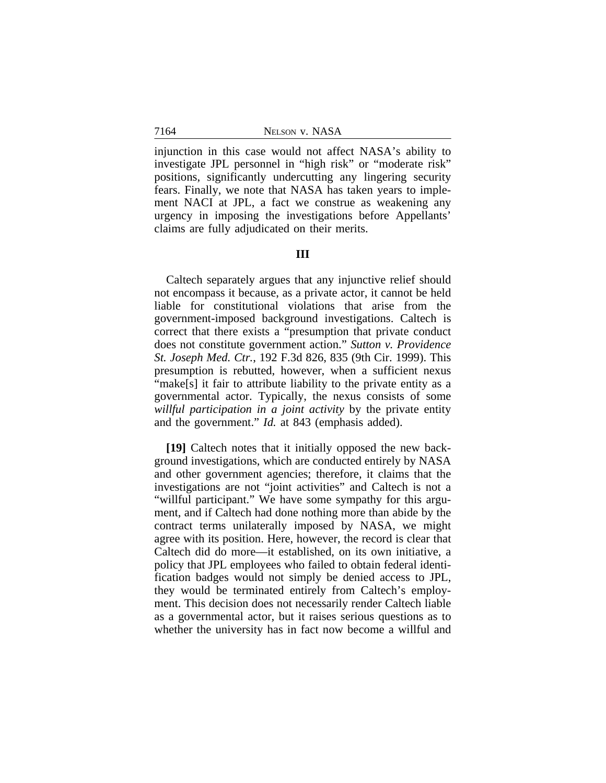injunction in this case would not affect NASA's ability to investigate JPL personnel in "high risk" or "moderate risk" positions, significantly undercutting any lingering security fears. Finally, we note that NASA has taken years to implement NACI at JPL, a fact we construe as weakening any urgency in imposing the investigations before Appellants' claims are fully adjudicated on their merits.

#### **III**

Caltech separately argues that any injunctive relief should not encompass it because, as a private actor, it cannot be held liable for constitutional violations that arise from the government-imposed background investigations. Caltech is correct that there exists a "presumption that private conduct does not constitute government action." *Sutton v. Providence St. Joseph Med. Ctr.*, 192 F.3d 826, 835 (9th Cir. 1999). This presumption is rebutted, however, when a sufficient nexus "make[s] it fair to attribute liability to the private entity as a governmental actor. Typically, the nexus consists of some *willful participation in a joint activity* by the private entity and the government." *Id.* at 843 (emphasis added).

**[19]** Caltech notes that it initially opposed the new background investigations, which are conducted entirely by NASA and other government agencies; therefore, it claims that the investigations are not "joint activities" and Caltech is not a "willful participant." We have some sympathy for this argument, and if Caltech had done nothing more than abide by the contract terms unilaterally imposed by NASA, we might agree with its position. Here, however, the record is clear that Caltech did do more—it established, on its own initiative, a policy that JPL employees who failed to obtain federal identification badges would not simply be denied access to JPL, they would be terminated entirely from Caltech's employment. This decision does not necessarily render Caltech liable as a governmental actor, but it raises serious questions as to whether the university has in fact now become a willful and